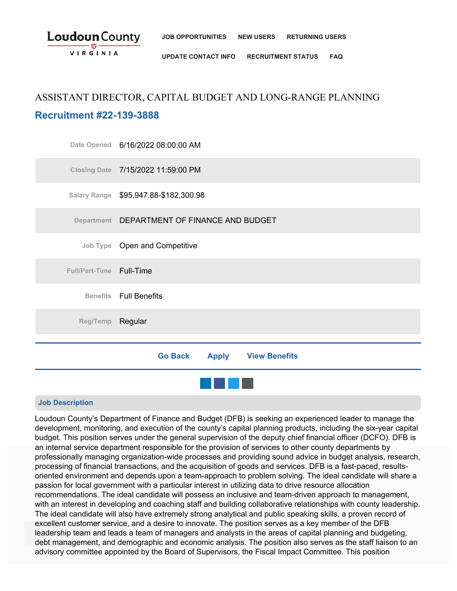

**[UPDATE CONTACT INFO](https://www.jobapscloud.com/LDN/newregpages/IDPassfind.asp?from=UpdateEmail) [RECRUITMENT STATUS](https://www.jobapscloud.com/LDN/statusboard.asp) [FAQ](http://www.loudoun.gov/DocumentCenter/Home/View/15252)**

# ASSISTANT DIRECTOR, CAPITAL BUDGET AND LONG-RANGE PLANNING **Recruitment #22-139-3888**

|                          | Date Opened 6/16/2022 08:00:00 AM            |
|--------------------------|----------------------------------------------|
|                          | Closing Date 7/15/2022 11:59:00 PM           |
|                          | Salary Range \$95,947.88-\$182,300.98        |
|                          | Department DEPARTMENT OF FINANCE AND BUDGET  |
|                          | Job Type Open and Competitive                |
| Full/Part-Time Full-Time |                                              |
|                          | <b>Benefits</b> Full Benefits                |
| Reg/Temp Regular         |                                              |
|                          |                                              |
|                          | <b>Apply View Benefits</b><br><b>Go Back</b> |
|                          |                                              |

## **Job Description**

Loudoun County's Department of Finance and Budget (DFB) is seeking an experienced leader to manage the development, monitoring, and execution of the county's capital planning products, including the six-year capital budget. This position serves under the general supervision of the deputy chief financial officer (DCFO). DFB is an internal service department responsible for the provision of services to other county departments by professionally managing organization-wide processes and providing sound advice in budget analysis, research, processing of financial transactions, and the acquisition of goods and services. DFB is a fast-paced, results-<br>Criented apvironment and depends upon a team approach to problem solving. The ideal candidate will above oriented environment and depends upon a team-approach to problem solving. The ideal candidate will share a passion for local government with a particular interest in utilizing data to drive resource allocation recommendations. The ideal candidate will possess an inclusive and team-driven approach to management, with an interest in developing and coaching staff and building collaborative relationships with county leadership. The ideal candidate will also have extremely strong analytical and public speaking skills, a proven record of excellent customer service, and a desire to innovate. The position serves as a key member of the DFB leadership team and leads a team of managers and analysts in the areas of capital planning and budgeting, debt management, and demographic and economic analysis. The position also serves as the staff liaison to an advisory committee appointed by the Board of Supervisors, the Fiscal Impact Committee. This position